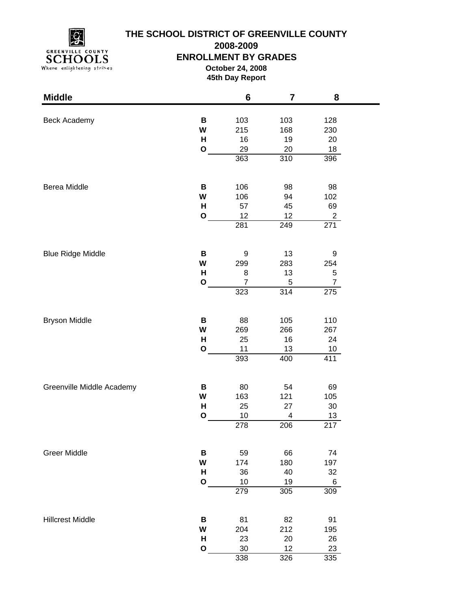

**2008-2009**

### **ENROLLMENT BY GRADES**

**October 24, 2008 45th Day Report**

| <b>Middle</b>             |              | $6\phantom{1}$ | 7                       | 8               |  |
|---------------------------|--------------|----------------|-------------------------|-----------------|--|
|                           |              |                |                         |                 |  |
| Beck Academy              | B<br>W       | 103<br>215     | 103<br>168              | 128<br>230      |  |
|                           | H            | 16             | 19                      | 20              |  |
|                           | $\mathbf O$  | 29             | 20                      | 18              |  |
|                           |              | 363            | 310                     | 396             |  |
|                           |              |                |                         |                 |  |
| Berea Middle              | В            | 106            | 98                      | 98              |  |
|                           | W            | 106            | 94                      | 102             |  |
|                           | H            | 57             | 45                      | 69              |  |
|                           | $\mathbf{o}$ | 12             | 12                      | $\overline{2}$  |  |
|                           |              | 281            | 249                     | 271             |  |
| <b>Blue Ridge Middle</b>  | B            | 9              | 13                      | 9               |  |
|                           | W            | 299            | 283                     | 254             |  |
|                           | H            | 8              | 13                      | 5               |  |
|                           | $\mathbf{o}$ | $\overline{7}$ | $\,$ 5 $\,$             | $\overline{7}$  |  |
|                           |              | 323            | 314                     | 275             |  |
|                           |              |                |                         |                 |  |
| <b>Bryson Middle</b>      | В            | 88             | 105                     | 110             |  |
|                           | W            | 269            | 266                     | 267             |  |
|                           | H            | 25             | 16                      | 24              |  |
|                           | $\mathbf{o}$ | 11             | 13                      | 10 <sub>1</sub> |  |
|                           |              | 393            | 400                     | 411             |  |
| Greenville Middle Academy | В            | 80             | 54                      | 69              |  |
|                           | W            | 163            | 121                     | 105             |  |
|                           | Н            | 25             | 27                      | 30              |  |
|                           | $\mathbf{o}$ | 10             | $\overline{\mathbf{4}}$ | 13              |  |
|                           |              | 278            | 206                     | 217             |  |
| <b>Greer Middle</b>       | B            | 59             | 66                      | 74              |  |
|                           | W            | 174            | 180                     | 197             |  |
|                           | H            | 36             | 40                      | 32              |  |
|                           | $\mathbf{o}$ | 10             | 19                      | 6               |  |
|                           |              | 279            | 305                     | 309             |  |
| <b>Hillcrest Middle</b>   | В            | 81             | 82                      | 91              |  |
|                           | W            | 204            | 212                     | 195             |  |
|                           | н            | 23             | 20                      | 26              |  |
|                           | $\mathbf{o}$ | 30             | 12                      | 23              |  |
|                           |              | 338            | 326                     | 335             |  |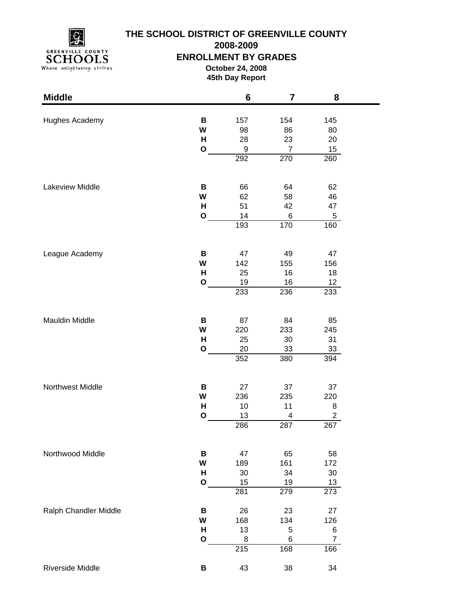

**2008-2009**

### **ENROLLMENT BY GRADES**

**October 24, 2008 45th Day Report**

| <b>Middle</b>         |              | 6                | $\overline{\mathbf{7}}$ | 8               |  |
|-----------------------|--------------|------------------|-------------------------|-----------------|--|
|                       |              |                  |                         |                 |  |
| Hughes Academy        | B<br>W       | 157<br>98        | 154<br>86               | 145<br>80       |  |
|                       | H            | 28               | 23                      | 20              |  |
|                       | $\mathbf O$  | 9                | $\overline{7}$          | 15              |  |
|                       |              | 292              | 270                     | 260             |  |
|                       |              |                  |                         |                 |  |
| Lakeview Middle       | B            | 66               | 64                      | 62              |  |
|                       | W            | 62               | 58                      | 46              |  |
|                       | н            | 51               | 42                      | 47              |  |
|                       | $\mathbf O$  | 14               | 6                       | 5               |  |
|                       |              | 193              | 170                     | 160             |  |
| League Academy        | B            | 47               | 49                      | 47              |  |
|                       | W            | 142              | 155                     | 156             |  |
|                       | н            | 25               | 16                      | 18              |  |
|                       | $\mathbf{o}$ | 19               | 16                      | 12 <sub>2</sub> |  |
|                       |              | 233              | 236                     | 233             |  |
|                       |              |                  |                         |                 |  |
| Mauldin Middle        | B<br>W       | 87<br>220        | 84<br>233               | 85<br>245       |  |
|                       | н            | 25               | 30                      | 31              |  |
|                       | $\mathbf{o}$ | 20               | 33                      | 33              |  |
|                       |              | 352              | 380                     | 394             |  |
|                       |              |                  |                         |                 |  |
| Northwest Middle      | B            | 27               | 37                      | 37              |  |
|                       | W            | 236              | 235                     | 220             |  |
|                       | H            | 10               | 11                      | 8               |  |
|                       | $\mathbf{o}$ | 13               | 4                       | $\overline{c}$  |  |
|                       |              | 286              | 287                     | 267             |  |
| Northwood Middle      | B            | 47               | 65                      | 58              |  |
|                       | W            | 189              | 161                     | 172             |  |
|                       | H            | 30               | 34                      | $30\,$          |  |
|                       | $\mathbf{o}$ | 15               | 19                      | 13              |  |
|                       |              | 281              | 279                     | 273             |  |
| Ralph Chandler Middle | B            | 26               | 23                      | 27              |  |
|                       | W            | 168              | 134                     | 126             |  |
|                       | H            | 13               | 5                       | 6               |  |
|                       | $\mathbf O$  | 8                | 6                       | $\overline{7}$  |  |
|                       |              | $\overline{215}$ | 168                     | 166             |  |
| Riverside Middle      | B            | 43               | 38                      | 34              |  |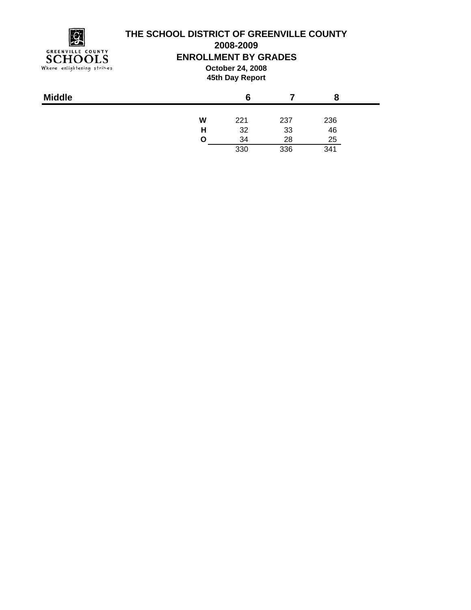

**2008-2009**

### **ENROLLMENT BY GRADES**

**October 24, 2008 45th Day Report**

| <b>Middle</b> |   | 6   |     |     |  |
|---------------|---|-----|-----|-----|--|
|               | W | 221 | 237 | 236 |  |
|               | н | 32  | 33  | 46  |  |
|               | O | 34  | 28  | 25  |  |
|               |   | 330 | 336 | 341 |  |
|               |   |     |     |     |  |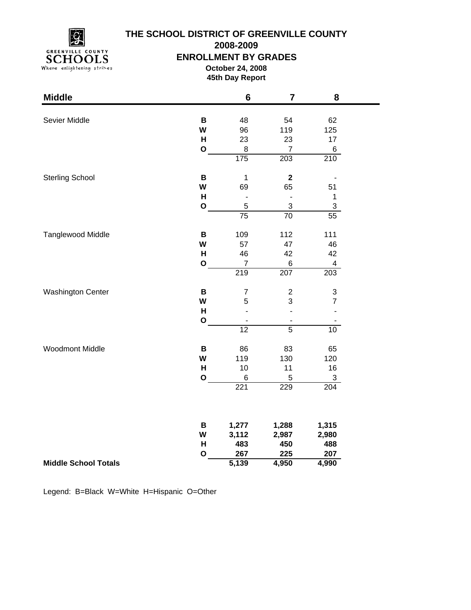

**2008-2009**

#### **ENROLLMENT BY GRADES**

**October 24, 2008 45th Day Report**

| <b>Middle</b>               |              | $6\phantom{1}6$          | $\overline{7}$               | 8                         |
|-----------------------------|--------------|--------------------------|------------------------------|---------------------------|
|                             |              |                          |                              |                           |
| Sevier Middle               | $\, {\bf B}$ | 48                       | 54                           | 62                        |
|                             | W            | 96                       | 119                          | 125                       |
|                             | H            | 23                       | 23                           | 17                        |
|                             | $\mathbf 0$  | 8                        | $\overline{7}$               | 6                         |
|                             |              | 175                      | 203                          | 210                       |
| <b>Sterling School</b>      | B            | $\mathbf 1$              | $\mathbf 2$                  |                           |
|                             | W            | 69                       | 65                           | 51                        |
|                             | H            | $\overline{\phantom{a}}$ | $\blacksquare$               | $\mathbf 1$               |
|                             | $\mathbf O$  | 5                        | 3                            | $\ensuremath{\mathsf{3}}$ |
|                             |              | $\overline{75}$          | $\overline{70}$              | $\overline{55}$           |
| Tanglewood Middle           | B            | 109                      | 112                          | 111                       |
|                             | W            | 57                       | 47                           | 46                        |
|                             | Н            | 46                       | 42                           | 42                        |
|                             | $\mathbf{o}$ | $\overline{7}$           | 6                            | 4                         |
|                             |              | 219                      | 207                          | 203                       |
| <b>Washington Center</b>    | $\, {\bf B}$ | $\overline{7}$           | $\overline{c}$               | 3                         |
|                             | W            | 5                        | 3                            | $\overline{7}$            |
|                             | Н            |                          | ÷,                           |                           |
|                             | $\mathbf O$  |                          | $\qquad \qquad \blacksquare$ |                           |
|                             |              | $\overline{12}$          | $\overline{5}$               | 10                        |
| <b>Woodmont Middle</b>      | B            | 86                       | 83                           | 65                        |
|                             | W            | 119                      | 130                          | 120                       |
|                             | H            | 10                       | 11                           | 16                        |
|                             | $\mathbf 0$  | 6                        | 5                            | 3                         |
|                             |              | 221                      | 229                          | 204                       |
|                             |              |                          |                              |                           |
|                             | B            | 1,277                    | 1,288                        | 1,315                     |
|                             | W            | 3,112                    | 2,987                        | 2,980                     |
|                             | H            | 483                      | 450                          | 488                       |
|                             | $\mathbf{o}$ | 267                      | 225                          | 207                       |
| <b>Middle School Totals</b> |              | 5,139                    | 4,950                        | 4,990                     |

Legend: B=Black W=White H=Hispanic O=Other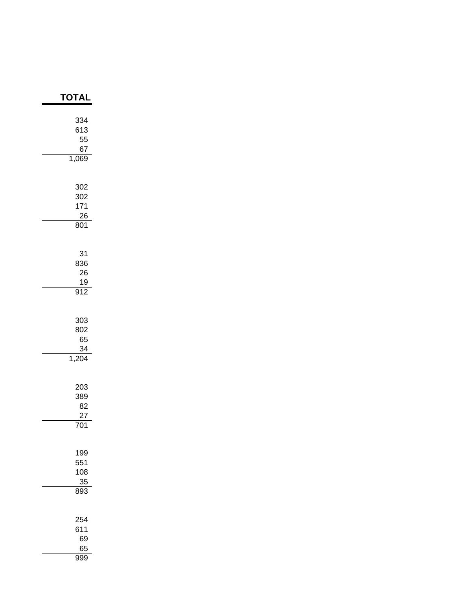| TOTAI                                     |
|-------------------------------------------|
| 334<br>613<br>55<br>67<br>1,069           |
| 302<br>302<br>171<br>26<br>801            |
| 31<br>836<br>26<br>19<br>$\overline{912}$ |
| 303<br>802<br>65<br>34<br>1,204           |
| 203<br>389<br>82<br>27<br>701             |
| 199<br>551<br>108<br>35<br>893            |
| 254<br>611<br>69<br>65<br>999             |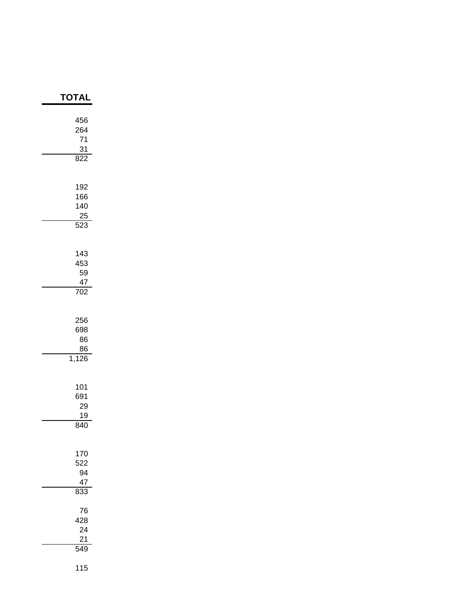| <b>TOTAL</b>                               |
|--------------------------------------------|
| 456<br>264<br>71<br>$\frac{31}{322}$<br>۶  |
| 192<br>166<br>140<br>25<br>$\frac{1}{523}$ |
| 143<br>453<br>59<br>47<br>$\overline{702}$ |
| 256<br>698<br>86<br>$\frac{86}{1,126}$     |
| 101<br>691<br>29<br>19<br>840              |
| 170<br>522<br>94<br>47<br>833              |
| 76<br>428<br>24<br>21<br>549               |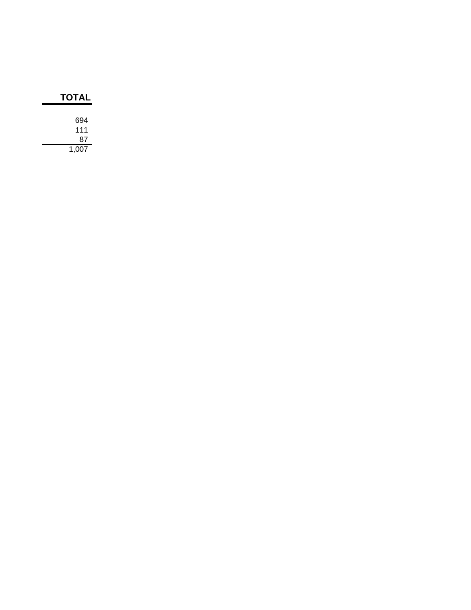| <b>TOTAL</b> |  |
|--------------|--|
| 694          |  |
| 111          |  |
| 87           |  |
| 1,007        |  |